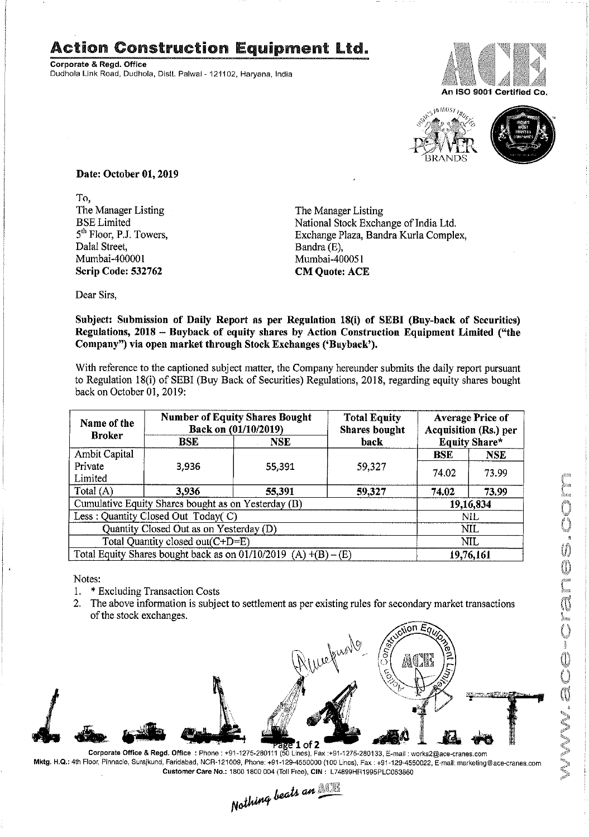## Action Construction Equipment Ltd.

Corporate & Regd. Office Dudhola Link Road, Dudhola, Distt. Palwai - 121102, Haryana, India





Date: October 01, 2019

To,<br>The Manager Listing The Manager Listing The Manager Listing<br>BSE Limited National Stock Exchanger Dalal Street, Bandra (E), Bandra (E), Bandra (E), Bandra (E), Bandra (E), Bandra (E), Bandra (E), Bandra (E), Bandra (E), Bandra (E), Bandra (E), Bandra (E), Bandra (E), Bandra (E), Bandra (E), Bandra (E), Bandra (E), Band Scrip Code: 532762 CM Quote: ACE

BSE Limited National Stock Exchange of India Ltd.<br>
5<sup>th</sup> Floor, P.J. Towers, Exchange Plaza, Bandra Kurla Comple 5<sup>th</sup> Floor, P.J. Towers, Exchange Plaza, Bandra Kurla Complex, Dalal Street, Bandra (E), Mumbai-400051

Dear Sirs,

Subject: Submission of Daily Report as per Regulation 18(i) of SEBI (Buy-back of Securities) Regulations, 2018 — Buyback of equity shares by Action Construction Equipment Limited ("the Company") via open market through Stock Exchanges ('Buyback').

With reference to the captioned subject matter, the Company hereunder submits the daily report pursuant to Regulation 18(i) of SEBI (Buy Back of Securities) Regulations, 2018, regarding equity shares bought back on October 01, 2019:

|  | Name of the<br><b>Broker</b>                                                                          | <b>Number of Equity Shares Bought</b><br>Back on (01/10/2019) |            | <b>Total Equity</b><br><b>Shares</b> bought | <b>Average Price of</b><br><b>Acquisition (Rs.) per</b> |            |  |
|--|-------------------------------------------------------------------------------------------------------|---------------------------------------------------------------|------------|---------------------------------------------|---------------------------------------------------------|------------|--|
|  |                                                                                                       | <b>BSE</b>                                                    | <b>NSE</b> | back                                        | <b>Equity Share*</b>                                    |            |  |
|  | <b>Ambit Capital</b>                                                                                  |                                                               |            |                                             | <b>BSE</b>                                              | <b>NSE</b> |  |
|  | Private<br>Limited                                                                                    | 3,936                                                         | 55,391     | 59,327                                      | 74.02                                                   | 73.99      |  |
|  | Total (A)                                                                                             | 3,936                                                         | 55,391     | 59,327                                      | 74.02                                                   | 73.99      |  |
|  | Cumulative Equity Shares bought as on Yesterday (B)                                                   |                                                               |            |                                             | 19,16,834                                               |            |  |
|  | Less: Quantity Closed Out Today( C)                                                                   |                                                               |            |                                             | <b>NIL</b>                                              |            |  |
|  | Quantity Closed Out as on Yesterday (D)                                                               |                                                               |            |                                             | NIL                                                     |            |  |
|  | Total Quantity closed out(C+D=E)<br>Total Equity Shares bought back as on $01/10/2019$ (A) +(B) – (E) |                                                               |            |                                             |                                                         | <b>NIL</b> |  |
|  |                                                                                                       |                                                               |            |                                             |                                                         | 19,76,161  |  |

Notes:

1

- 1. \* Excluding Transaction Costs
- 2. The above information is subject to settlement as per existing rules for secondary market transactions of the stock exchanges.



Corporate Office & Regd. Office : Phone : +91-1275-280111 (50 Lines), Fax 1+91-1275-280133, E-mail : work52@ace-cranes.com Mktg. H.Q.: 4th Floor, Pinnacle, Surajkund, Faridabad, NOR-121009, Phone: +91-129-4550000 (100 Lines), Fax : +91-129-4550022. E-mail: marketing©ace-cranes.com

Customer Care No.: 1800 1800 004 (Toll Free), CIN: L74899HR1995PLC053860<br>Nothing beats an **Matthing**